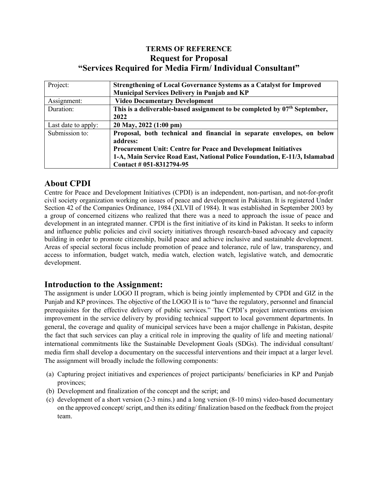## **TERMS OF REFERENCE Request for Proposal "Services Required for Media Firm/ Individual Consultant"**

| Project:            | <b>Strengthening of Local Governance Systems as a Catalyst for Improved</b> |
|---------------------|-----------------------------------------------------------------------------|
|                     | <b>Municipal Services Delivery in Punjab and KP</b>                         |
| Assignment:         | <b>Video Documentary Development</b>                                        |
| Duration:           | This is a deliverable-based assignment to be completed by $07th$ September, |
|                     | 2022                                                                        |
| Last date to apply: | 20 May, 2022 (1:00 pm)                                                      |
| Submission to:      | Proposal, both technical and financial in separate envelopes, on below      |
|                     | address:                                                                    |
|                     | <b>Procurement Unit: Centre for Peace and Development Initiatives</b>       |
|                     | 1-A, Main Service Road East, National Police Foundation, E-11/3, Islamabad  |
|                     | Contact # 051-8312794-95                                                    |

## **About CPDI**

Centre for Peace and Development Initiatives (CPDI) is an independent, non-partisan, and not-for-profit civil society organization working on issues of peace and development in Pakistan. It is registered Under Section 42 of the Companies Ordinance, 1984 (XLVII of 1984). It was established in September 2003 by a group of concerned citizens who realized that there was a need to approach the issue of peace and development in an integrated manner. CPDI is the first initiative of its kind in Pakistan. It seeks to inform and influence public policies and civil society initiatives through research-based advocacy and capacity building in order to promote citizenship, build peace and achieve inclusive and sustainable development. Areas of special sectoral focus include promotion of peace and tolerance, rule of law, transparency, and access to information, budget watch, media watch, election watch, legislative watch, and democratic development.

#### **Introduction to the Assignment:**

The assignment is under LOGO II program, which is being jointly implemented by CPDI and GIZ in the Punjab and KP provinces. The objective of the LOGO II is to "have the regulatory, personnel and financial prerequisites for the effective delivery of public services." The CPDI's project interventions envision improvement in the service delivery by providing technical support to local government departments. In general, the coverage and quality of municipal services have been a major challenge in Pakistan, despite the fact that such services can play a critical role in improving the quality of life and meeting national/ international commitments like the Sustainable Development Goals (SDGs). The individual consultant/ media firm shall develop a documentary on the successful interventions and their impact at a larger level. The assignment will broadly include the following components:

- (a) Capturing project initiatives and experiences of project participants/ beneficiaries in KP and Punjab provinces;
- (b) Development and finalization of the concept and the script; and
- (c) development of a short version (2-3 mins.) and a long version (8-10 mins) video-based documentary on the approved concept/ script, and then its editing/ finalization based on the feedback from the project team.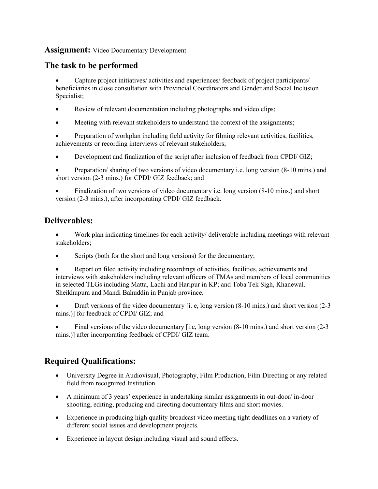#### **Assignment:** Video Documentary Development

## **The task to be performed**

• Capture project initiatives/ activities and experiences/ feedback of project participants/ beneficiaries in close consultation with Provincial Coordinators and Gender and Social Inclusion Specialist;

- Review of relevant documentation including photographs and video clips;
- Meeting with relevant stakeholders to understand the context of the assignments;

• Preparation of workplan including field activity for filming relevant activities, facilities, achievements or recording interviews of relevant stakeholders;

• Development and finalization of the script after inclusion of feedback from CPDI/ GIZ;

• Preparation/ sharing of two versions of video documentary i.e. long version (8-10 mins.) and short version (2-3 mins.) for CPDI/ GIZ feedback; and

• Finalization of two versions of video documentary i.e. long version (8-10 mins.) and short version (2-3 mins.), after incorporating CPDI/ GIZ feedback.

## **Deliverables:**

• Work plan indicating timelines for each activity/ deliverable including meetings with relevant stakeholders;

Scripts (both for the short and long versions) for the documentary;

• Report on filed activity including recordings of activities, facilities, achievements and interviews with stakeholders including relevant officers of TMAs and members of local communities in selected TLGs including Matta, Lachi and Haripur in KP; and Toba Tek Sigh, Khanewal. Sheikhupura and Mandi Bahuddin in Punjab province.

• Draft versions of the video documentary [i. e, long version (8-10 mins.) and short version (2-3 mins.)] for feedback of CPDI/ GIZ; and

• Final versions of the video documentary [i.e, long version (8-10 mins.) and short version (2-3 mins.)] after incorporating feedback of CPDI/ GIZ team.

# **Required Qualifications:**

- University Degree in Audiovisual, Photography, Film Production, Film Directing or any related field from recognized Institution.
- A minimum of 3 years' experience in undertaking similar assignments in out-door/ in-door shooting, editing, producing and directing documentary films and short movies.
- Experience in producing high quality broadcast video meeting tight deadlines on a variety of different social issues and development projects.
- Experience in layout design including visual and sound effects.